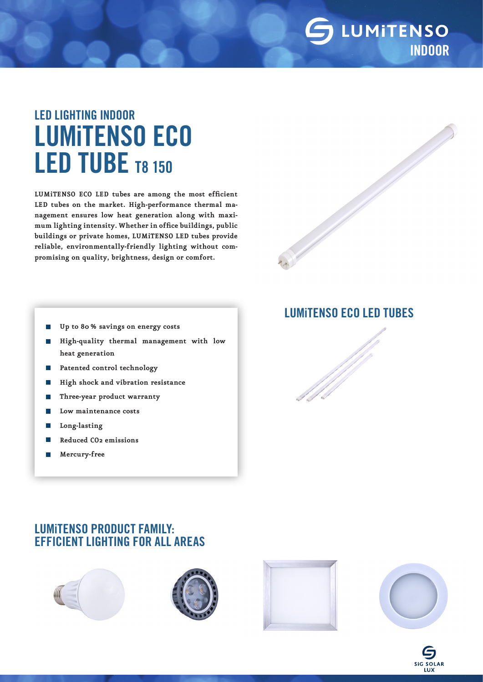### LUMITENSO INDOOR

# LED LIGHTING INDOOR LUMiTENSO ECO LED TUBE T8 150

**LUMiTENSO ECO LED tubes are among the most efficient LED tubes on the market. High-performance thermal management ensures low heat generation along with maximum lighting intensity. Whether in office buildings, public buildings or private homes, LUMiTENSO LED tubes provide reliable, environmentally-friendly lighting without compromising on quality, brightness, design or comfort.**

- $\mathcal{L}_{\mathcal{A}}$ **Up to 80% savings on energy costs**
- **High-quality thermal management with low**   $\mathcal{C}^{\mathcal{A}}$ **heat generation**
- **Patented control technology**  $\Box$
- **High shock and vibration resistance** П
- **Three-year product warranty** T.
- F **Low maintenance costs**
- **Long-lasting** T.
- **Reduced CO2 emissions**
- **Mercury-free**

### LUMiTENSO ECO LED TUBES

### LUMiTENSO PRODUCT FAMILY: EFFICIENT LIGHTING FOR ALL AREAS